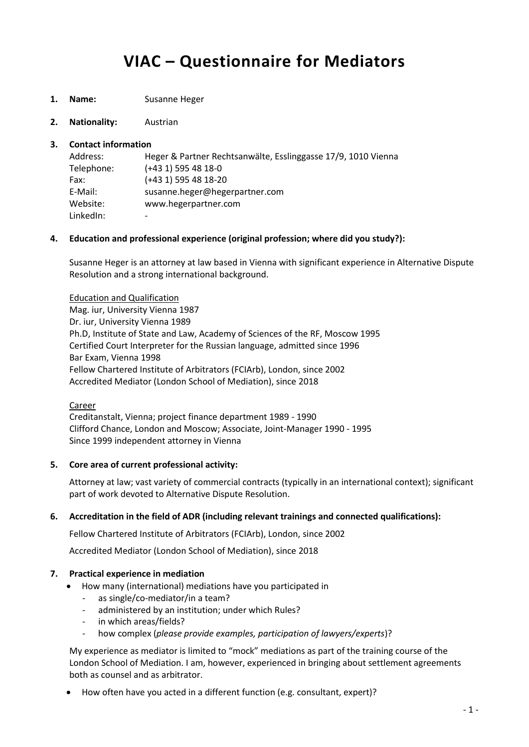# **VIAC – Questionnaire for Mediators**

**1. Name:** Susanne Heger

**2. Nationality:** Austrian

#### **3. Contact information**

| Address:   | Heger & Partner Rechtsanwälte, Esslinggasse 17/9, 1010 Vienna |
|------------|---------------------------------------------------------------|
| Telephone: | $(+43 1)$ 595 48 18-0                                         |
| Fax:       | $(+43 1)$ 595 48 18-20                                        |
| E-Mail:    | susanne.heger@hegerpartner.com                                |
| Website:   | www.hegerpartner.com                                          |
| LinkedIn:  | $\overline{\phantom{0}}$                                      |

#### **4. Education and professional experience (original profession; where did you study?):**

Susanne Heger is an attorney at law based in Vienna with significant experience in Alternative Dispute Resolution and a strong international background.

Education and Qualification Mag. iur, University Vienna 1987 Dr. iur, University Vienna 1989 Ph.D, Institute of State and Law, Academy of Sciences of the RF, Moscow 1995 Certified Court Interpreter for the Russian language, admitted since 1996 Bar Exam, Vienna 1998 Fellow Chartered Institute of Arbitrators (FCIArb), London, since 2002 Accredited Mediator (London School of Mediation), since 2018

#### Career

Creditanstalt, Vienna; project finance department 1989 - 1990 Clifford Chance, London and Moscow; Associate, Joint-Manager 1990 - 1995 Since 1999 independent attorney in Vienna

#### **5. Core area of current professional activity:**

Attorney at law; vast variety of commercial contracts (typically in an international context); significant part of work devoted to Alternative Dispute Resolution.

#### **6. Accreditation in the field of ADR (including relevant trainings and connected qualifications):**

Fellow Chartered Institute of Arbitrators (FCIArb), London, since 2002

Accredited Mediator (London School of Mediation), since 2018

#### **7. Practical experience in mediation**

- How many (international) mediations have you participated in
	- as single/co-mediator/in a team?
	- administered by an institution; under which Rules?
	- in which areas/fields?
	- how complex (*please provide examples, participation of lawyers/experts*)?

My experience as mediator is limited to "mock" mediations as part of the training course of the London School of Mediation. I am, however, experienced in bringing about settlement agreements both as counsel and as arbitrator.

How often have you acted in a different function (e.g. consultant, expert)?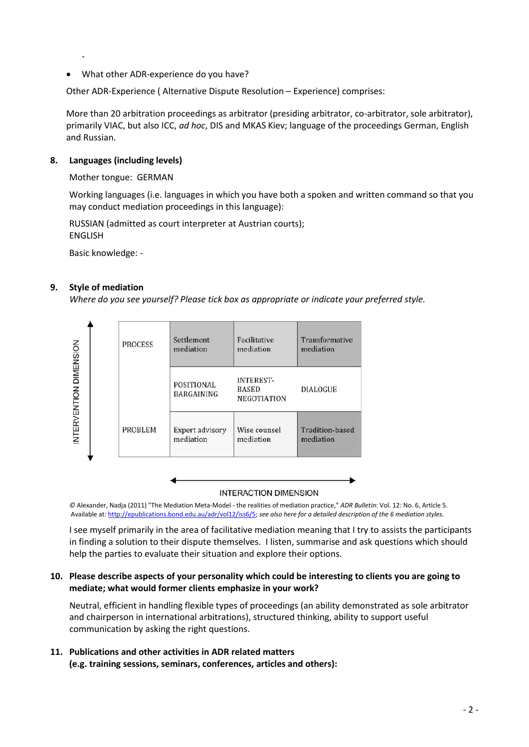What other ADR-experience do you have?

Other ADR-Experience ( Alternative Dispute Resolution – Experience) comprises:

More than 20 arbitration proceedings as arbitrator (presiding arbitrator, co-arbitrator, sole arbitrator), primarily VIAC, but also ICC, *ad hoc*, DIS and MKAS Kiev; language of the proceedings German, English and Russian.

# **8. Languages (including levels)**

-

### Mother tongue: GERMAN

Working languages (i.e. languages in which you have both a spoken and written command so that you may conduct mediation proceedings in this language):

RUSSIAN (admitted as court interpreter at Austrian courts); ENGLISH

Basic knowledge: -

# **9. Style of mediation**

*Where do you see yourself? Please tick box as appropriate or indicate your preferred style.*



#### **INTERACTION DIMENSION**

*©* Alexander, Nadja (2011) "The Mediation Meta-Model - the realities of mediation practice," *ADR Bulletin*: Vol. 12: No. 6, Article 5. Available at[: http://epublications.bond.edu.au/adr/vol12/iss6/5;](http://epublications.bond.edu.au/adr/vol12/iss6/5) *see also here for a detailed description of the 6 mediation styles.*

I see myself primarily in the area of facilitative mediation meaning that I try to assists the participants in finding a solution to their dispute themselves. I listen, summarise and ask questions which should help the parties to evaluate their situation and explore their options.

# **10. Please describe aspects of your personality which could be interesting to clients you are going to mediate; what would former clients emphasize in your work?**

Neutral, efficient in handling flexible types of proceedings (an ability demonstrated as sole arbitrator and chairperson in international arbitrations), structured thinking, ability to support useful communication by asking the right questions.

**11. Publications and other activities in ADR related matters (e.g. training sessions, seminars, conferences, articles and others):**